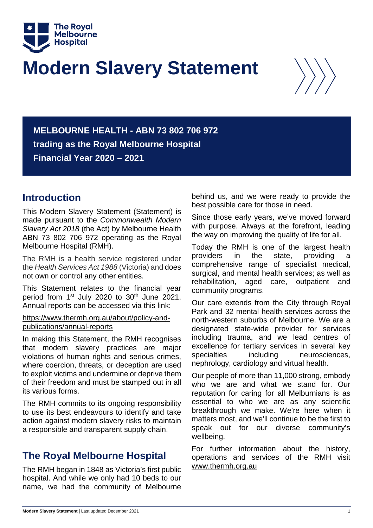

# **Modern Slavery Statement**



**MELBOURNE HEALTH - ABN 73 802 706 972 trading as the Royal Melbourne Hospital Financial Year 2020 – 2021**

# **Introduction**

This Modern Slavery Statement (Statement) is made pursuant to the *Commonwealth Modern Slavery Act 2018* (the Act) by Melbourne Health ABN 73 802 706 972 operating as the Royal Melbourne Hospital (RMH).

The RMH is a health service registered under the *Health Services Act 1988* (Victoria) and does not own or control any other entities.

This Statement relates to the financial year period from 1<sup>st</sup> July 2020 to 30<sup>th</sup> June 2021. Annual reports can be accessed via this link:

[https://www.thermh.org.au/about/policy-and](https://www.thermh.org.au/about/policy-and-publications/annual-reports)[publications/annual-reports](https://www.thermh.org.au/about/policy-and-publications/annual-reports)

In making this Statement, the RMH recognises that modern slavery practices are major violations of human rights and serious crimes, where coercion, threats, or deception are used to exploit victims and undermine or deprive them of their freedom and must be stamped out in all its various forms.

The RMH commits to its ongoing responsibility to use its best endeavours to identify and take action against modern slavery risks to maintain a responsible and transparent supply chain.

# **The Royal Melbourne Hospital**

The RMH began in 1848 as Victoria's first public hospital. And while we only had 10 beds to our name, we had the community of Melbourne behind us, and we were ready to provide the best possible care for those in need.

Since those early years, we've moved forward with purpose. Always at the forefront, leading the way on improving the quality of life for all.

Today the RMH is one of the largest health providers in the state, providing a comprehensive range of specialist medical, surgical, and mental health services; as well as rehabilitation, aged care, outpatient and community programs.

Our care extends from the City through Royal Park and 32 mental health services across the north-western suburbs of Melbourne. We are a designated state-wide provider for services including trauma, and we lead centres of excellence for tertiary services in several key specialties including neurosciences. nephrology, cardiology and virtual health.

Our people of more than 11,000 strong, embody who we are and what we stand for. Our reputation for caring for all Melburnians is as essential to who we are as any scientific breakthrough we make. We're here when it matters most, and we'll continue to be the first to speak out for our diverse community's wellbeing.

For further information about the history, operations and services of the RMH visit [www.thermh.org.au](https://www.thermh.org.au/about)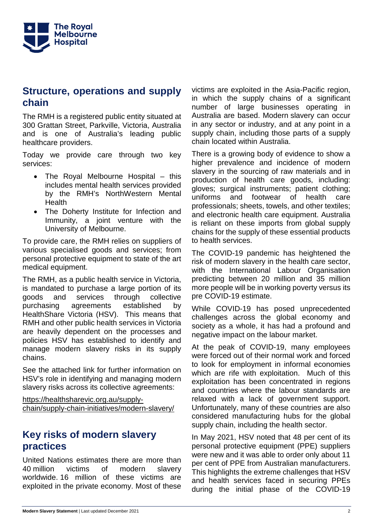

## **Structure, operations and supply chain**

The RMH is a registered public entity situated at 300 Grattan Street, Parkville, Victoria, Australia and is one of Australia's leading public healthcare providers.

Today we provide care through two key services:

- The Royal Melbourne Hospital this includes mental health services provided by the RMH's NorthWestern Mental **Health**
- The Doherty Institute for Infection and Immunity, a joint venture with the University of Melbourne.

To provide care, the RMH relies on suppliers of various specialised goods and services; from personal protective equipment to state of the art medical equipment.

The RMH, as a public health service in Victoria, is mandated to purchase a large portion of its goods and services through collective purchasing agreements established by HealthShare Victoria (HSV). This means that RMH and other public health services in Victoria are heavily dependent on the processes and policies HSV has established to identify and manage modern slavery risks in its supply chains.

See the attached link for further information on HSV's role in identifying and managing modern slavery risks across its collective agreements:

[https://healthsharevic.org.au/supply](https://healthsharevic.org.au/supply-chain/supply-chain-initiatives/modern-slavery/)[chain/supply-chain-initiatives/modern-slavery/](https://healthsharevic.org.au/supply-chain/supply-chain-initiatives/modern-slavery/)

## **Key risks of modern slavery practices**

United Nations estimates there are more than 40 million victims of modern slavery worldwide. 16 million of these victims are exploited in the private economy. Most of these victims are exploited in the Asia-Pacific region, in which the supply chains of a significant number of large businesses operating in Australia are based. Modern slavery can occur in any sector or industry, and at any point in a supply chain, including those parts of a supply chain located within Australia.

There is a growing body of evidence to show a higher prevalence and incidence of modern slavery in the sourcing of raw materials and in production of health care goods, including: gloves; surgical instruments; patient clothing; uniforms and footwear of health care professionals; sheets, towels, and other textiles; and electronic health care equipment. Australia is reliant on these imports from global supply chains for the supply of these essential products to health services.

The COVID-19 pandemic has heightened the risk of modern slavery in the health care sector, with the International Labour Organisation predicting between 20 million and 35 million more people will be in working poverty versus its pre COVID-19 estimate.

While COVID-19 has posed unprecedented challenges across the global economy and society as a whole, it has had a profound and negative impact on the labour market.

At the peak of COVID-19, many employees were forced out of their normal work and forced to look for employment in informal economies which are rife with exploitation. Much of this exploitation has been concentrated in regions and countries where the labour standards are relaxed with a lack of government support. Unfortunately, many of these countries are also considered manufacturing hubs for the global supply chain, including the health sector.

In May 2021, HSV noted that 48 per cent of its personal protective equipment (PPE) suppliers were new and it was able to order only about 11 per cent of PPE from Australian manufacturers. This highlights the extreme challenges that HSV and health services faced in securing PPEs during the initial phase of the COVID-19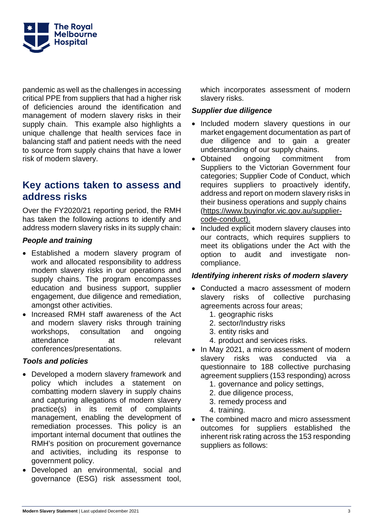

pandemic as well as the challenges in accessing critical PPE from suppliers that had a higher risk of deficiencies around the identification and management of modern slavery risks in their supply chain. This example also highlights a unique challenge that health services face in balancing staff and patient needs with the need to source from supply chains that have a lower risk of modern slavery.

# **Key actions taken to assess and address risks**

Over the FY2020/21 reporting period, the RMH has taken the following actions to identify and address modern slavery risks in its supply chain:

## *People and training*

- Established a modern slavery program of work and allocated responsibility to address modern slavery risks in our operations and supply chains. The program encompasses education and business support, supplier engagement, due diligence and remediation, amongst other activities.
- Increased RMH staff awareness of the Act and modern slavery risks through training workshops, consultation and ongoing attendance at relevant conferences/presentations.

## *Tools and policies*

- Developed a modern slavery framework and policy which includes a statement on combatting modern slavery in supply chains and capturing allegations of modern slavery practice(s) in its remit of complaints management, enabling the development of remediation processes. This policy is an important internal document that outlines the RMH's position on procurement governance and activities, including its response to government policy.
- Developed an environmental, social and governance (ESG) risk assessment tool,

which incorporates assessment of modern slavery risks.

## *Supplier due diligence*

- Included modern slavery questions in our market engagement documentation as part of due diligence and to gain a greater understanding of our supply chains.
- Obtained ongoing commitment from Suppliers to the Victorian Government four categories; Supplier Code of Conduct, which requires suppliers to proactively identify, address and report on modern slavery risks in their business operations and supply chains [\(https://www.buyingfor.vic.gov.au/supplier](https://www.buyingfor.vic.gov.au/supplier-code-conduct)[code-conduct\)](https://www.buyingfor.vic.gov.au/supplier-code-conduct).
- Included explicit modern slavery clauses into our contracts, which requires suppliers to meet its obligations under the Act with the option to audit and investigate noncompliance.

## *Identifying inherent risks of modern slavery*

- Conducted a macro assessment of modern slavery risks of collective purchasing agreements across four areas;
	- 1. geographic risks
	- 2. sector/Industry risks
	- 3. entity risks and
	- 4. product and services risks.
- In May 2021, a micro assessment of modern slavery risks was conducted via a questionnaire to 188 collective purchasing agreement suppliers (153 responding) across
	- 1. governance and policy settings,
	- 2. due diligence process,
	- 3. remedy process and
	- 4. training.
- The combined macro and micro assessment outcomes for suppliers established the inherent risk rating across the 153 responding suppliers as follows: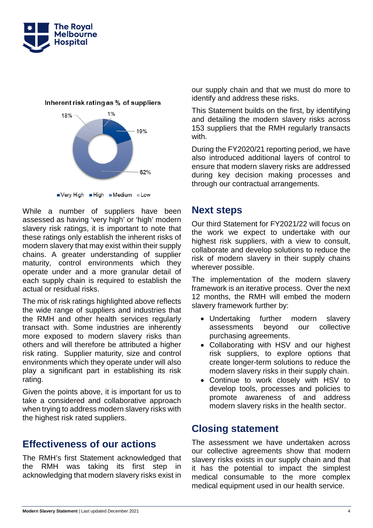



Inherent risk rating as % of suppliers

Very High High Medium Low

While a number of suppliers have been assessed as having 'very high' or 'high' modern slavery risk ratings, it is important to note that these ratings only establish the inherent risks of modern slavery that may exist within their supply chains. A greater understanding of supplier maturity, control environments which they operate under and a more granular detail of each supply chain is required to establish the actual or residual risks.

The mix of risk ratings highlighted above reflects the wide range of suppliers and industries that the RMH and other health services regularly transact with. Some industries are inherently more exposed to modern slavery risks than others and will therefore be attributed a higher risk rating. Supplier maturity, size and control environments which they operate under will also play a significant part in establishing its risk rating.

Given the points above, it is important for us to take a considered and collaborative approach when trying to address modern slavery risks with the highest risk rated suppliers.

# **Effectiveness of our actions**

The RMH's first Statement acknowledged that the RMH was taking its first step in acknowledging that modern slavery risks exist in our supply chain and that we must do more to identify and address these risks.

This Statement builds on the first, by identifying and detailing the modern slavery risks across 153 suppliers that the RMH regularly transacts with.

During the FY2020/21 reporting period, we have also introduced additional layers of control to ensure that modern slavery risks are addressed during key decision making processes and through our contractual arrangements.

# **Next steps**

Our third Statement for FY2021/22 will focus on the work we expect to undertake with our highest risk suppliers, with a view to consult, collaborate and develop solutions to reduce the risk of modern slavery in their supply chains wherever possible.

The implementation of the modern slavery framework is an iterative process. Over the next 12 months, the RMH will embed the modern slavery framework further by:

- Undertaking further modern slavery assessments beyond our collective purchasing agreements.
- Collaborating with HSV and our highest risk suppliers, to explore options that create longer-term solutions to reduce the modern slavery risks in their supply chain.
- Continue to work closely with HSV to develop tools, processes and policies to promote awareness of and address modern slavery risks in the health sector.

# **Closing statement**

The assessment we have undertaken across our collective agreements show that modern slavery risks exists in our supply chain and that it has the potential to impact the simplest medical consumable to the more complex medical equipment used in our health service.